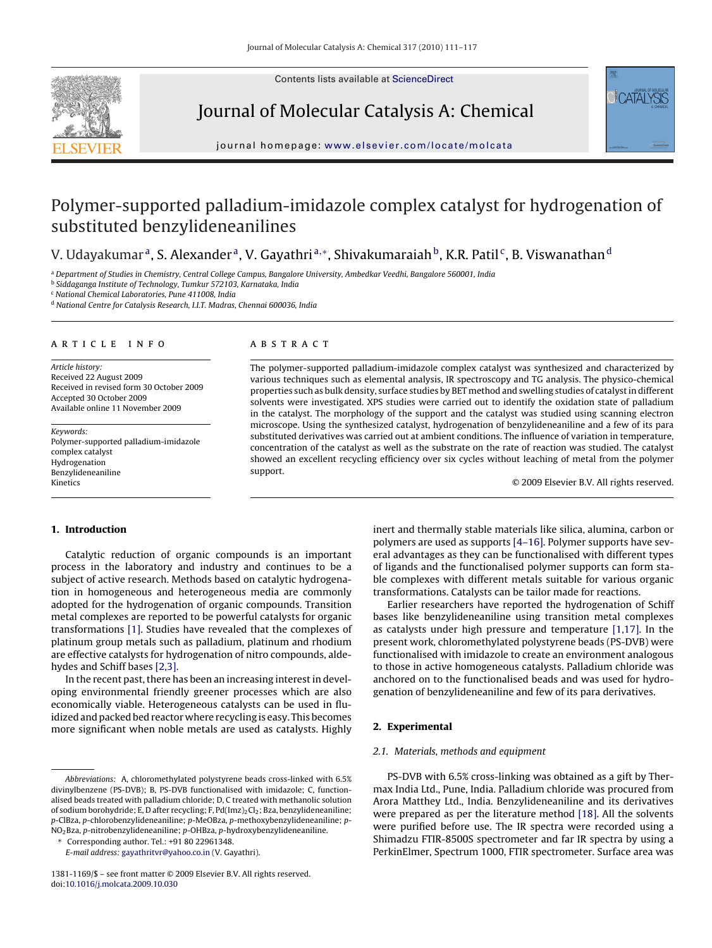Contents lists available at [ScienceDirect](http://www.sciencedirect.com/science/journal/13811169)



Journal of Molecular Catalysis A: Chemical



journal homepage: [www.elsevier.com/locate/molcata](http://www.elsevier.com/locate/molcata)

# Polymer-supported palladium-imidazole complex catalyst for hydrogenation of substituted benzylideneanilines

## V. Udayakumar<sup>a</sup>, S. Alexander<sup>a</sup>, V. Gayathri<sup>a,</sup>\*, Shivakumaraiah<sup>b</sup>, K.R. Patil<sup>c</sup>, B. Viswanathan <sup>d</sup>

<sup>a</sup> *Department of Studies in Chemistry, Central College Campus, Bangalore University, Ambedkar Veedhi, Bangalore 560001, India*

<sup>b</sup> *Siddaganga Institute of Technology, Tumkur 572103, Karnataka, India*

<sup>c</sup> *National Chemical Laboratories, Pune 411008, India*

<sup>d</sup> *National Centre for Catalysis Research, I.I.T. Madras, Chennai 600036, India*

#### article info

*Article history:* Received 22 August 2009 Received in revised form 30 October 2009 Accepted 30 October 2009 Available online 11 November 2009

*Keywords:* Polymer-supported palladium-imidazole complex catalyst Hydrogenation Benzylideneaniline Kinetics

ABSTRACT

The polymer-supported palladium-imidazole complex catalyst was synthesized and characterized by various techniques such as elemental analysis, IR spectroscopy and TG analysis. The physico-chemical properties such as bulk density, surface studies by BET method and swelling studies of catalyst in different solvents were investigated. XPS studies were carried out to identify the oxidation state of palladium in the catalyst. The morphology of the support and the catalyst was studied using scanning electron microscope. Using the synthesized catalyst, hydrogenation of benzylideneaniline and a few of its para substituted derivatives was carried out at ambient conditions. The influence of variation in temperature, concentration of the catalyst as well as the substrate on the rate of reaction was studied. The catalyst showed an excellent recycling efficiency over six cycles without leaching of metal from the polymer support.

© 2009 Elsevier B.V. All rights reserved.

## 1. Introduction

Catalytic reduction of organic compounds is an important process in the laboratory and industry and continues to be a subject of active research. Methods based on catalytic hydrogenation in homogeneous and heterogeneous media are commonly adopted for the hydrogenation of organic compounds. Transition metal complexes are reported to be powerful catalysts for organic transformations [\[1\]. S](#page-5-0)tudies have revealed that the complexes of platinum group metals such as palladium, platinum and rhodium are effective catalysts for hydrogenation of nitro compounds, aldehydes and Schiff bases [\[2,3\].](#page-5-0)

In the recent past, there has been an increasing interest in developing environmental friendly greener processes which are also economically viable. Heterogeneous catalysts can be used in fluidized and packed bed reactor where recycling is easy. This becomes more significant when noble metals are used as catalysts. Highly

∗ Corresponding author. Tel.: +91 80 22961348.

*E-mail address:* [gayathritvr@yahoo.co.in](mailto:gayathritvr@yahoo.co.in) (V. Gayathri).

inert and thermally stable materials like silica, alumina, carbon or polymers are used as supports [\[4–16\]. P](#page-5-0)olymer supports have several advantages as they can be functionalised with different types of ligands and the functionalised polymer supports can form stable complexes with different metals suitable for various organic transformations. Catalysts can be tailor made for reactions.

Earlier researchers have reported the hydrogenation of Schiff bases like benzylideneaniline using transition metal complexes as catalysts under high pressure and temperature [\[1,17\].](#page-5-0) In the present work, chloromethylated polystyrene beads (PS-DVB) were functionalised with imidazole to create an environment analogous to those in active homogeneous catalysts. Palladium chloride was anchored on to the functionalised beads and was used for hydrogenation of benzylideneaniline and few of its para derivatives.

### 2. Experimental

## *2.1. Materials, methods and equipment*

PS-DVB with 6.5% cross-linking was obtained as a gift by Thermax India Ltd., Pune, India. Palladium chloride was procured from Arora Matthey Ltd., India. Benzylideneaniline and its derivatives were prepared as per the literature method [\[18\]. A](#page-5-0)ll the solvents were purified before use. The IR spectra were recorded using a Shimadzu FTIR-8500S spectrometer and far IR spectra by using a PerkinElmer, Spectrum 1000, FTIR spectrometer. Surface area was

*Abbreviations:* A, chloromethylated polystyrene beads cross-linked with 6.5% divinylbenzene (PS-DVB); B, PS-DVB functionalised with imidazole; C, functionalised beads treated with palladium chloride; D, C treated with methanolic solution of sodium borohydride; E, D after recycling; F, Pd(Imz)2Cl2; Bza, benzylideneaniline; *p*-ClBza, *p*-chlorobenzylideneaniline; *p*-MeOBza, *p*-methoxybenzylideneaniline; *p*-NO2Bza, *p*-nitrobenzylideneaniline; *p*-OHBza, *p*-hydroxybenzylideneaniline.

<sup>1381-1169/\$ –</sup> see front matter © 2009 Elsevier B.V. All rights reserved. doi:[10.1016/j.molcata.2009.10.030](dx.doi.org/10.1016/j.molcata.2009.10.030)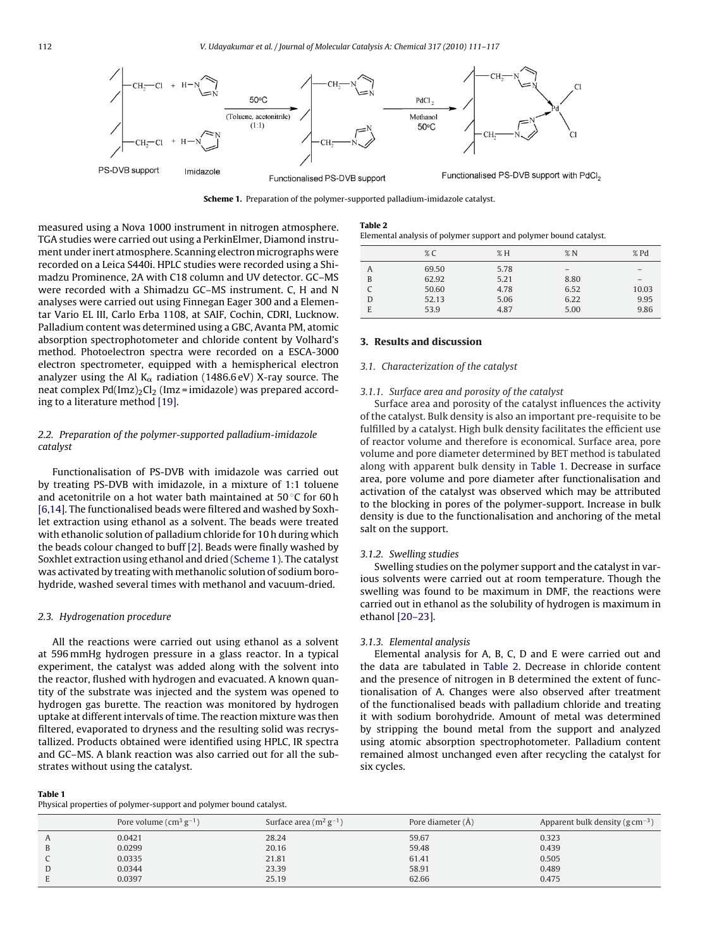

Scheme 1. Preparation of the polymer-supported palladium-imidazole catalyst.

measured using a Nova 1000 instrument in nitrogen atmosphere. TGA studies were carried out using a PerkinElmer, Diamond instrument under inert atmosphere. Scanning electron micrographs were recorded on a Leica S440i. HPLC studies were recorded using a Shimadzu Prominence, 2A with C18 column and UV detector. GC–MS were recorded with a Shimadzu GC–MS instrument. C, H and N analyses were carried out using Finnegan Eager 300 and a Elementar Vario EL III, Carlo Erba 1108, at SAIF, Cochin, CDRI, Lucknow. Palladium content was determined using a GBC, Avanta PM, atomic absorption spectrophotometer and chloride content by Volhard's method. Photoelectron spectra were recorded on a ESCA-3000 electron spectrometer, equipped with a hemispherical electron analyzer using the Al K $_{\alpha}$  radiation (1486.6 eV) X-ray source. The neat complex  $Pd(Imz)<sub>2</sub>Cl<sub>2</sub>$  (Imz = imidazole) was prepared according to a literature method [\[19\].](#page-6-0)

## *2.2. Preparation of the polymer-supported palladium-imidazole catalyst*

Functionalisation of PS-DVB with imidazole was carried out by treating PS-DVB with imidazole, in a mixture of 1:1 toluene and acetonitrile on a hot water bath maintained at 50 ◦C for 60 h [\[6,14\]. T](#page-5-0)he functionalised beads were filtered and washed by Soxhlet extraction using ethanol as a solvent. The beads were treated with ethanolic solution of palladium chloride for 10 h during which the beads colour changed to buff [\[2\]. B](#page-5-0)eads were finally washed by Soxhlet extraction using ethanol and dried (Scheme 1). The catalyst was activated by treating with methanolic solution of sodium borohydride, washed several times with methanol and vacuum-dried.

## *2.3. Hydrogenation procedure*

All the reactions were carried out using ethanol as a solvent at 596 mmHg hydrogen pressure in a glass reactor. In a typical experiment, the catalyst was added along with the solvent into the reactor, flushed with hydrogen and evacuated. A known quantity of the substrate was injected and the system was opened to hydrogen gas burette. The reaction was monitored by hydrogen uptake at different intervals of time. The reaction mixture was then filtered, evaporated to dryness and the resulting solid was recrystallized. Products obtained were identified using HPLC, IR spectra and GC–MS. A blank reaction was also carried out for all the substrates without using the catalyst.

#### Table 1

Physical properties of polymer-support and polymer bound catalyst.

| Table 2                                                           |
|-------------------------------------------------------------------|
| Elemental analysis of polymer support and polymer bound catalyst. |

|   | $\%$ C | $\% H$ | $\% N$ | $%$ Pd |
|---|--------|--------|--------|--------|
| A | 69.50  | 5.78   |        |        |
| B | 62.92  | 5.21   | 8.80   |        |
|   | 50.60  | 4.78   | 6.52   | 10.03  |
| D | 52.13  | 5.06   | 6.22   | 9.95   |
| E | 53.9   | 4.87   | 5.00   | 9.86   |

#### 3. Results and discussion

#### *3.1. Characterization of the catalyst*

#### *3.1.1. Surface area and porosity of the catalyst*

Surface area and porosity of the catalyst influences the activity of the catalyst. Bulk density is also an important pre-requisite to be fulfilled by a catalyst. High bulk density facilitates the efficient use of reactor volume and therefore is economical. Surface area, pore volume and pore diameter determined by BET method is tabulated along with apparent bulk density in Table 1. Decrease in surface area, pore volume and pore diameter after functionalisation and activation of the catalyst was observed which may be attributed to the blocking in pores of the polymer-support. Increase in bulk density is due to the functionalisation and anchoring of the metal salt on the support.

#### *3.1.2. Swelling studies*

Swelling studies on the polymer support and the catalyst in various solvents were carried out at room temperature. Though the swelling was found to be maximum in DMF, the reactions were carried out in ethanol as the solubility of hydrogen is maximum in ethanol [\[20–23\].](#page-6-0)

#### *3.1.3. Elemental analysis*

Elemental analysis for A, B, C, D and E were carried out and the data are tabulated in Table 2. Decrease in chloride content and the presence of nitrogen in B determined the extent of functionalisation of A. Changes were also observed after treatment of the functionalised beads with palladium chloride and treating it with sodium borohydride. Amount of metal was determined by stripping the bound metal from the support and analyzed using atomic absorption spectrophotometer. Palladium content remained almost unchanged even after recycling the catalyst for six cycles.

| Pore volume $\rm (cm^3\,g^{-1})$ | Surface area $(m^2 g^{-1})$ | Pore diameter (Å) | Apparent bulk density ( $g \text{ cm}^{-3}$ ) |
|----------------------------------|-----------------------------|-------------------|-----------------------------------------------|
| 0.0421                           | 28.24                       | 59.67             | 0.323                                         |
| 0.0299                           | 20.16                       | 59.48             | 0.439                                         |
| 0.0335                           | 21.81                       | 61.41             | 0.505                                         |
| 0.0344                           | 23.39                       | 58.91             | 0.489                                         |
| 0.0397                           | 25.19                       | 62.66             | 0.475                                         |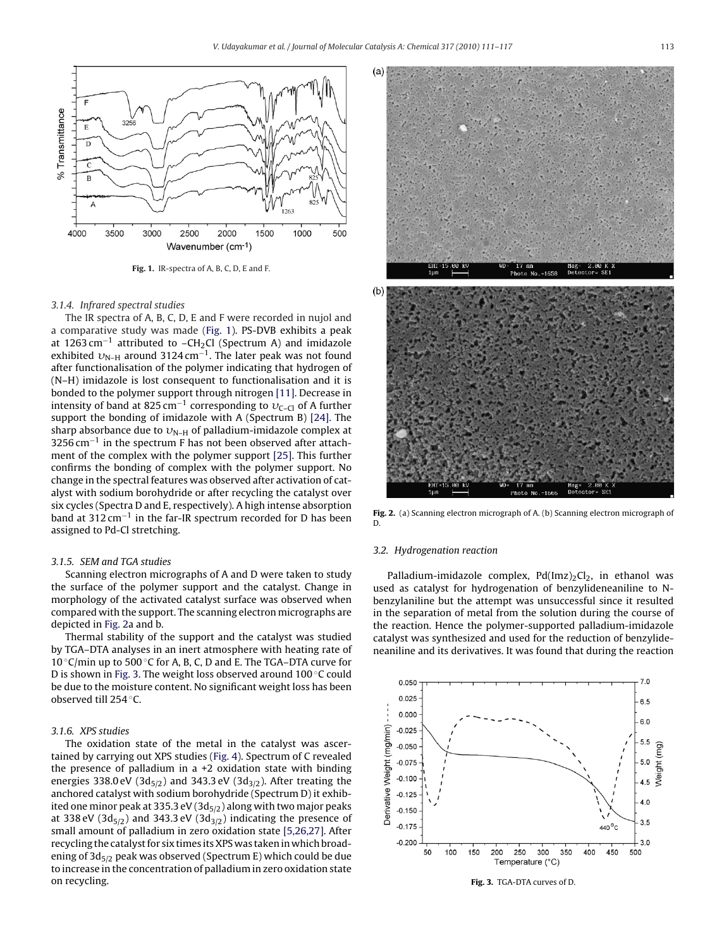

Fig. 1. IR-spectra of A, B, C, D, E and F.

#### *3.1.4. Infrared spectral studies*

The IR spectra of A, B, C, D, E and F were recorded in nujol and a comparative study was made (Fig. 1). PS-DVB exhibits a peak at 1263 cm−<sup>1</sup> attributed to –CH2Cl (Spectrum A) and imidazole exhibited  $v_{\textrm{N-H}}$  around 3124 cm<sup>−1</sup>. The later peak was not found after functionalisation of the polymer indicating that hydrogen of (N–H) imidazole is lost consequent to functionalisation and it is bonded to the polymer support through nitrogen [\[11\]. D](#page-5-0)ecrease in intensity of band at 825 cm<sup>-1</sup> corresponding to  $v_{C-C}$  of A further support the bonding of imidazole with A (Spectrum B) [\[24\].](#page-6-0) The sharp absorbance due to  $v_{N-H}$  of palladium-imidazole complex at  $3256$  cm<sup>-1</sup> in the spectrum F has not been observed after attachment of the complex with the polymer support [\[25\]. T](#page-6-0)his further confirms the bonding of complex with the polymer support. No change in the spectral features was observed after activation of catalyst with sodium borohydride or after recycling the catalyst over six cycles (Spectra D and E, respectively). A high intense absorption band at 312 cm<sup>-1</sup> in the far-IR spectrum recorded for D has been assigned to Pd-Cl stretching.

#### *3.1.5. SEM and TGA studies*

Scanning electron micrographs of A and D were taken to study the surface of the polymer support and the catalyst. Change in morphology of the activated catalyst surface was observed when compared with the support. The scanning electron micrographs are depicted in Fig. 2a and b.

Thermal stability of the support and the catalyst was studied by TGA–DTA analyses in an inert atmosphere with heating rate of 10 ◦C/min up to 500 ◦C for A, B, C, D and E. The TGA–DTA curve for D is shown in Fig. 3. The weight loss observed around 100 ℃ could be due to the moisture content. No significant weight loss has been observed till 254 ◦C.

## *3.1.6. XPS studies*

The oxidation state of the metal in the catalyst was ascertained by carrying out XPS studies ([Fig. 4\).](#page-3-0) Spectrum of C revealed the presence of palladium in a +2 oxidation state with binding energies 338.0 eV (3 $d_{5/2}$ ) and 343.3 eV (3 $d_{3/2}$ ). After treating the anchored catalyst with sodium borohydride (Spectrum D) it exhibited one minor peak at 335.3 eV (3d $_{5/2}$ ) along with two major peaks at 338 eV (3d $_{5/2}$ ) and 343.3 eV (3d $_{3/2}$ ) indicating the presence of small amount of palladium in zero oxidation state [\[5,26,27\]. A](#page-5-0)fter recycling the catalyst for six times its XPS was taken in which broadening of  $3d_{5/2}$  peak was observed (Spectrum E) which could be due to increase in the concentration of palladium in zero oxidation state on recycling.



Fig. 2. (a) Scanning electron micrograph of A. (b) Scanning electron micrograph of D.

#### *3.2. Hydrogenation reaction*

Palladium-imidazole complex,  $Pd(Imz)_{2}Cl_{2}$ , in ethanol was used as catalyst for hydrogenation of benzylideneaniline to Nbenzylaniline but the attempt was unsuccessful since it resulted in the separation of metal from the solution during the course of the reaction. Hence the polymer-supported palladium-imidazole catalyst was synthesized and used for the reduction of benzylideneaniline and its derivatives. It was found that during the reaction



Fig. 3. TGA-DTA curves of D.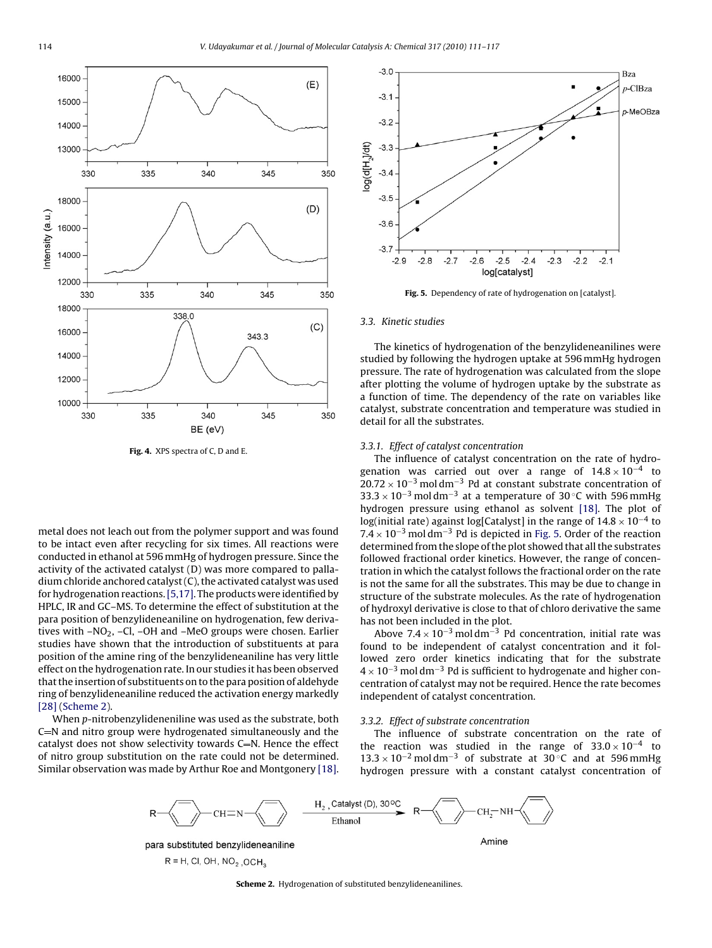<span id="page-3-0"></span>

metal does not leach out from the polymer support and was found to be intact even after recycling for six times. All reactions were conducted in ethanol at 596 mmHg of hydrogen pressure. Since the activity of the activated catalyst (D) was more compared to palladium chloride anchored catalyst (C), the activated catalyst was used for hydrogenation reactions.[\[5,17\]. T](#page-5-0)he products were identified by HPLC, IR and GC–MS. To determine the effect of substitution at the para position of benzylideneaniline on hydrogenation, few derivatives with -NO<sub>2</sub>, -Cl, -OH and -MeO groups were chosen. Earlier studies have shown that the introduction of substituents at para position of the amine ring of the benzylideneaniline has very little effect on the hydrogenation rate. In our studies it has been observed that the insertion of substituents on to the para position of aldehyde ring of benzylideneaniline reduced the activation energy markedly [\[28\]](#page-6-0) (Scheme 2).

When *p*-nitrobenzylideneniline was used as the substrate, both  $C=N$  and nitro group were hydrogenated simultaneously and the catalyst does not show selectivity towards  $C=N$ . Hence the effect of nitro group substitution on the rate could not be determined. Similar observation was made by Arthur Roe and Montgonery [\[18\].](#page-5-0)



Fig. 5. Dependency of rate of hydrogenation on [catalyst].

#### *3.3. Kinetic studies*

The kinetics of hydrogenation of the benzylideneanilines were studied by following the hydrogen uptake at 596 mmHg hydrogen pressure. The rate of hydrogenation was calculated from the slope after plotting the volume of hydrogen uptake by the substrate as a function of time. The dependency of the rate on variables like catalyst, substrate concentration and temperature was studied in detail for all the substrates.

#### *3.3.1. Effect of catalyst concentration*

The influence of catalyst concentration on the rate of hydrogenation was carried out over a range of  $14.8 \times 10^{-4}$  to  $20.72 \times 10^{-3}$  moldm<sup>-3</sup> Pd at constant substrate concentration of 33.3 × 10<sup>-3</sup> moldm<sup>-3</sup> at a temperature of 30 °C with 596 mmHg hydrogen pressure using ethanol as solvent [\[18\].](#page-5-0) The plot of log(initial rate) against log[Catalyst] in the range of  $14.8 \times 10^{-4}$  to  $7.4 \times 10^{-3}$  moldm<sup>-3</sup> Pd is depicted in Fig. 5. Order of the reaction determined from the slope of the plot showed that all the substrates followed fractional order kinetics. However, the range of concentration in which the catalyst follows the fractional order on the rate is not the same for all the substrates. This may be due to change in structure of the substrate molecules. As the rate of hydrogenation of hydroxyl derivative is close to that of chloro derivative the same has not been included in the plot.

Above  $7.4 \times 10^{-3}$  moldm<sup>-3</sup> Pd concentration, initial rate was found to be independent of catalyst concentration and it followed zero order kinetics indicating that for the substrate  $4 \times 10^{-3}$  moldm<sup>-3</sup> Pd is sufficient to hydrogenate and higher concentration of catalyst may not be required. Hence the rate becomes independent of catalyst concentration.

#### *3.3.2. Effect of substrate concentration*

The influence of substrate concentration on the rate of the reaction was studied in the range of  $33.0 \times 10^{-4}$  to  $13.3 \times 10^{-2}$  moldm<sup>-3</sup> of substrate at 30 °C and at 596 mmHg hydrogen pressure with a constant catalyst concentration of



 $R = H$ , CI, OH, NO<sub>2</sub>, OCH<sub>3</sub>

Scheme 2. Hydrogenation of substituted benzylideneanilines.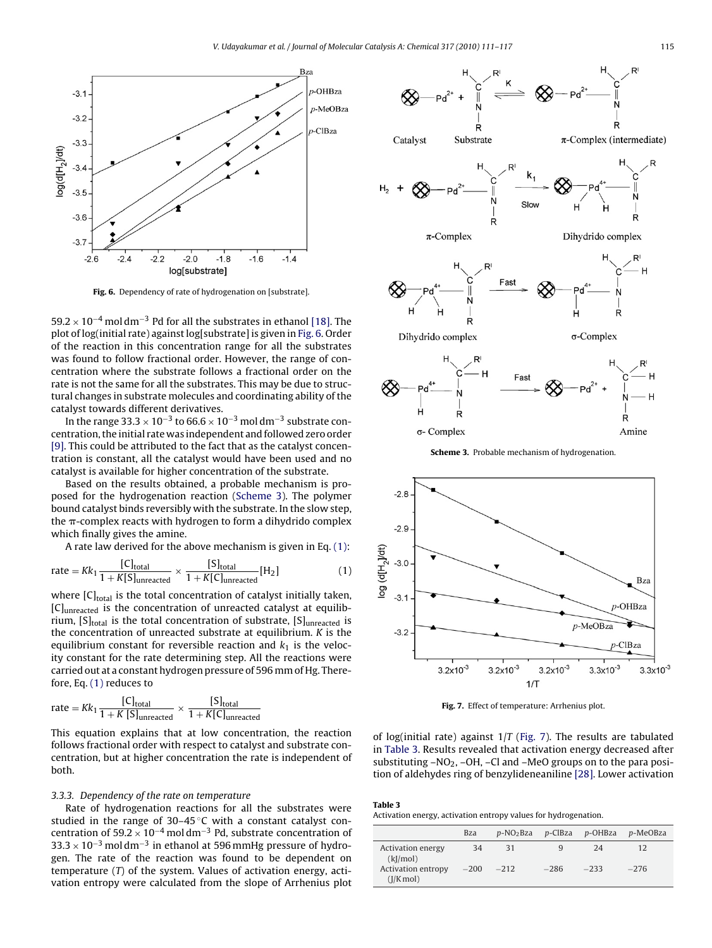

Fig. 6. Dependency of rate of hydrogenation on [substrate].

59.2 × 10<sup>-4</sup> mol dm<sup>-3</sup> Pd for all the substrates in ethanol [\[18\]. T](#page-5-0)he plot of log(initial rate) against log[substrate] is given in Fig. 6. Order of the reaction in this concentration range for all the substrates was found to follow fractional order. However, the range of concentration where the substrate follows a fractional order on the rate is not the same for all the substrates. This may be due to structural changes in substrate molecules and coordinating ability of the catalyst towards different derivatives.

In the range 33.3  $\times$  10<sup>-3</sup> to 66.6  $\times$  10<sup>-3</sup> mol dm<sup>-3</sup> substrate concentration, the initial rate was independent and followed zero order [\[9\]. T](#page-5-0)his could be attributed to the fact that as the catalyst concentration is constant, all the catalyst would have been used and no catalyst is available for higher concentration of the substrate.

Based on the results obtained, a probable mechanism is proposed for the hydrogenation reaction (Scheme 3). The polymer bound catalyst binds reversibly with the substrate. In the slow step, the  $\pi$ -complex reacts with hydrogen to form a dihydrido complex which finally gives the amine.

A rate law derived for the above mechanism is given in Eq. (1):

$$
rate = Kk_1 \frac{[C]_{\text{total}}}{1 + K[S]_{\text{unreacted}}} \times \frac{[S]_{\text{total}}}{1 + K[C]_{\text{unreacted}}} [H_2]
$$
 (1)

where  $[C]_{total}$  is the total concentration of catalyst initially taken, [C]unreacted is the concentration of unreacted catalyst at equilibrium,  $[S]_{total}$  is the total concentration of substrate,  $[S]_{unreacted}$  is the concentration of unreacted substrate at equilibrium. *K* is the equilibrium constant for reversible reaction and  $k_1$  is the velocity constant for the rate determining step. All the reactions were carried out at a constant hydrogen pressure of 596 mm of Hg. Therefore, Eq. (1) reduces to

$$
rate = Kk_1 \frac{[C]_{total}}{1 + K [S]_{unreacted}} \times \frac{[S]_{total}}{1 + K [C]_{unreacted}}
$$

This equation explains that at low concentration, the reaction follows fractional order with respect to catalyst and substrate concentration, but at higher concentration the rate is independent of both.

#### *3.3.3. Dependency of the rate on temperature*

Rate of hydrogenation reactions for all the substrates were studied in the range of 30–45 °C with a constant catalyst concentration of 59.2 × 10−<sup>4</sup> mol dm−<sup>3</sup> Pd, substrate concentration of  $33.3 \times 10^{-3}$  moldm<sup>-3</sup> in ethanol at 596 mmHg pressure of hydrogen. The rate of the reaction was found to be dependent on temperature (*T*) of the system. Values of activation energy, activation entropy were calculated from the slope of Arrhenius plot



Scheme 3. Probable mechanism of hydrogenation.



Fig. 7. Effect of temperature: Arrhenius plot.

of log(initial rate) against 1/*T* (Fig. 7). The results are tabulated in Table 3. Results revealed that activation energy decreased after substituting  $-NO<sub>2</sub>$ ,  $-OH$ ,  $-Cl$  and  $-MeO$  groups on to the para position of aldehydes ring of benzylideneaniline [\[28\]. L](#page-6-0)ower activation

## Table 3

 $\sigma$ - Complex

Activation energy, activation entropy values for hydrogenation.

|                                                            | <b>Bza</b>   | p-NO <sub>2</sub> Bza |             | p-ClBza p-OHBza | p-MeOBza     |
|------------------------------------------------------------|--------------|-----------------------|-------------|-----------------|--------------|
| <b>Activation energy</b><br>(kJ/mol)<br>Activation entropy | 34<br>$-200$ | 31<br>$-212$          | q<br>$-286$ | 24<br>$-233$    | 12<br>$-276$ |
| $(I/K \text{ mol})$                                        |              |                       |             |                 |              |

Amine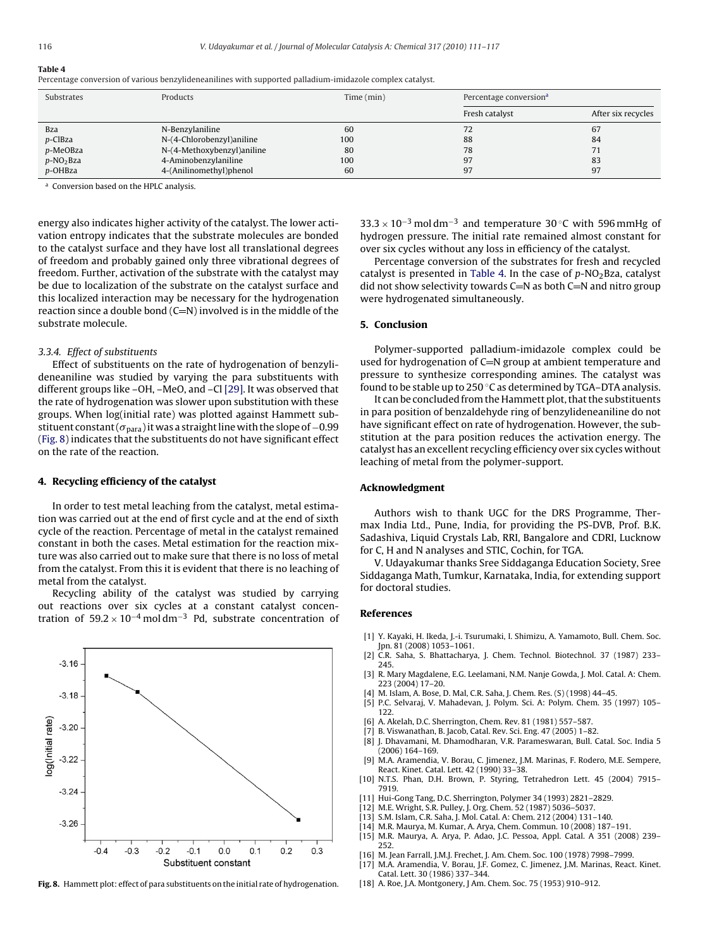<span id="page-5-0"></span>

| Percentage conversion of various benzylideneanilines with supported palladium-imidazole complex catalyst. |  |  |
|-----------------------------------------------------------------------------------------------------------|--|--|
|                                                                                                           |  |  |

| Substrates               | Products                   | Time (min) | Percentage conversion <sup>a</sup> |                    |
|--------------------------|----------------------------|------------|------------------------------------|--------------------|
|                          |                            |            | Fresh catalyst                     | After six recycles |
| <b>Bza</b>               | N-Benzylaniline            | 60         | 72                                 | 67                 |
| p-ClBza                  | N-(4-Chlorobenzyl)aniline  | 100        | 88                                 | 84                 |
| p-MeOBza                 | N-(4-Methoxybenzyl)aniline | 80         | 78                                 |                    |
| $p$ -NO <sub>2</sub> Bza | 4-Aminobenzylaniline       | 100        | 97                                 | 83                 |
| p-OHBza                  | 4-(Anilinomethyl)phenol    | 60         | 97                                 | 97                 |

<sup>a</sup> Conversion based on the HPLC analysis.

energy also indicates higher activity of the catalyst. The lower activation entropy indicates that the substrate molecules are bonded to the catalyst surface and they have lost all translational degrees of freedom and probably gained only three vibrational degrees of freedom. Further, activation of the substrate with the catalyst may be due to localization of the substrate on the catalyst surface and this localized interaction may be necessary for the hydrogenation reaction since a double bond  $(C=N)$  involved is in the middle of the substrate molecule.

#### *3.3.4. Effect of substituents*

Effect of substituents on the rate of hydrogenation of benzylideneaniline was studied by varying the para substituents with different groups like –OH, –MeO, and –Cl [\[29\]. I](#page-6-0)t was observed that the rate of hydrogenation was slower upon substitution with these groups. When log(initial rate) was plotted against Hammett substituent constant ( $\sigma_{\text{para}}$ ) it was a straight line with the slope of -0.99 (Fig. 8) indicates that the substituents do not have significant effect on the rate of the reaction.

### 4. Recycling efficiency of the catalyst

In order to test metal leaching from the catalyst, metal estimation was carried out at the end of first cycle and at the end of sixth cycle of the reaction. Percentage of metal in the catalyst remained constant in both the cases. Metal estimation for the reaction mixture was also carried out to make sure that there is no loss of metal from the catalyst. From this it is evident that there is no leaching of metal from the catalyst.

Recycling ability of the catalyst was studied by carrying out reactions over six cycles at a constant catalyst concentration of  $59.2 \times 10^{-4}$  mol dm<sup>-3</sup> Pd, substrate concentration of



Fig. 8. Hammett plot: effect of para substituents on the initial rate of hydrogenation.

33.3 × 10<sup>-3</sup> mol dm<sup>-3</sup> and temperature 30 °C with 596 mmHg of hydrogen pressure. The initial rate remained almost constant for over six cycles without any loss in efficiency of the catalyst.

Percentage conversion of the substrates for fresh and recycled catalyst is presented in Table 4. In the case of p-NO<sub>2</sub>Bza, catalyst did not show selectivity towards  $C=N$  as both  $C=N$  and nitro group were hydrogenated simultaneously.

#### 5. Conclusion

Polymer-supported palladium-imidazole complex could be used for hydrogenation of  $C = N$  group at ambient temperature and pressure to synthesize corresponding amines. The catalyst was found to be stable up to  $250^{\circ}$ C as determined by TGA–DTA analysis.

It can be concluded from the Hammett plot, that the substituents in para position of benzaldehyde ring of benzylideneaniline do not have significant effect on rate of hydrogenation. However, the substitution at the para position reduces the activation energy. The catalyst has an excellent recycling efficiency over six cycles without leaching of metal from the polymer-support.

#### Acknowledgment

Authors wish to thank UGC for the DRS Programme, Thermax India Ltd., Pune, India, for providing the PS-DVB, Prof. B.K. Sadashiva, Liquid Crystals Lab, RRI, Bangalore and CDRI, Lucknow for C, H and N analyses and STIC, Cochin, for TGA.

V. Udayakumar thanks Sree Siddaganga Education Society, Sree Siddaganga Math, Tumkur, Karnataka, India, for extending support for doctoral studies.

#### References

- [1] Y. Kayaki, H. Ikeda, J.-i. Tsurumaki, I. Shimizu, A. Yamamoto, Bull. Chem. Soc. Jpn. 81 (2008) 1053–1061.
- [2] C.R. Saha, S. Bhattacharya, J. Chem. Technol. Biotechnol. 37 (1987) 233– 245.
- [3] R. Mary Magdalene, E.G. Leelamani, N.M. Nanje Gowda, J. Mol. Catal. A: Chem. 223 (2004) 17–20.
- [4] M. Islam, A. Bose, D. Mal, C.R. Saha, J. Chem. Res. (S) (1998) 44–45.
- [5] P.C. Selvaraj, V. Mahadevan, J. Polym. Sci. A: Polym. Chem. 35 (1997) 105– 122.
- [6] A. Akelah, D.C. Sherrington, Chem. Rev. 81 (1981) 557–587.
- [7] B. Viswanathan, B. Jacob, Catal. Rev. Sci. Eng. 47 (2005) 1–82.
- [8] J. Dhavamani, M. Dhamodharan, V.R. Parameswaran, Bull. Catal. Soc. India 5 (2006) 164–169.
- [9] M.A. Aramendia, V. Borau, C. Jimenez, J.M. Marinas, F. Rodero, M.E. Sempere, React. Kinet. Catal. Lett. 42 (1990) 33–38.
- [10] N.T.S. Phan, D.H. Brown, P. Styring, Tetrahedron Lett. 45 (2004) 7915– 7919.
- Hui-Gong Tang, D.C. Sherrington, Polymer 34 (1993) 2821-2829.
- [12] M.E. Wright, S.R. Pulley, J. Org. Chem. 52 (1987) 5036–5037.
- [13] S.M. Islam, C.R. Saha, J. Mol. Catal. A: Chem. 212 (2004) 131–140.
- [14] M.R. Maurya, M. Kumar, A. Arya, Chem. Commun. 10 (2008) 187–191. [15] M.R. Maurya, A. Arya, P. Adao, J.C. Pessoa, Appl. Catal. A 351 (2008) 239– 252.
- [16] M. Jean Farrall, J.M.J. Frechet, J. Am. Chem. Soc. 100 (1978) 7998–7999.
- [17] M.A. Aramendia, V. Borau, J.F. Gomez, C. Jimenez, J.M. Marinas, React. Kinet. Catal. Lett. 30 (1986) 337–344.
- [18] A. Roe, J.A. Montgonery, J Am. Chem. Soc. 75 (1953) 910–912.